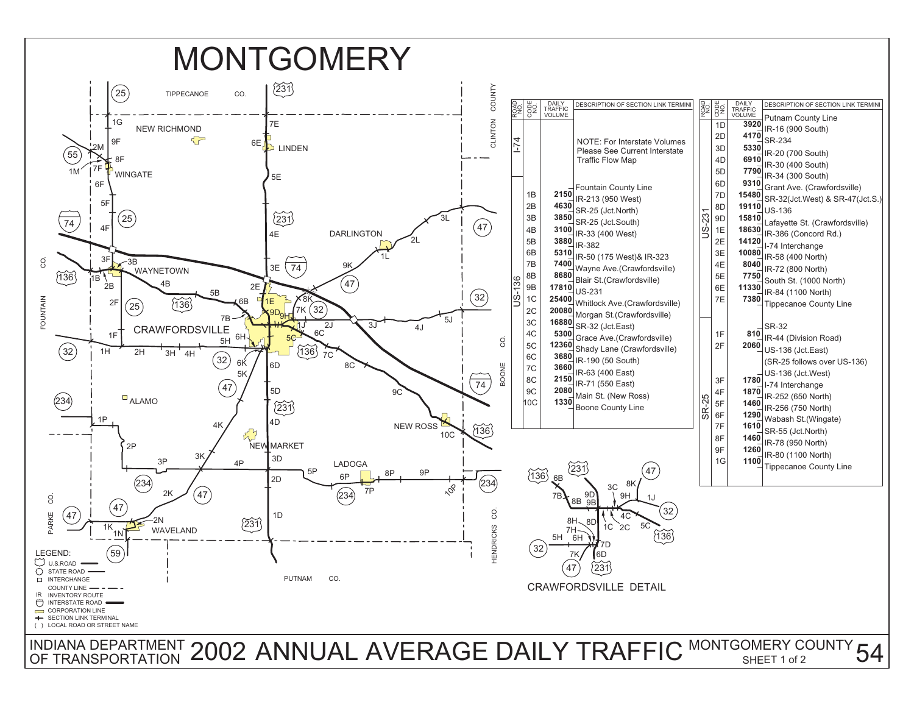